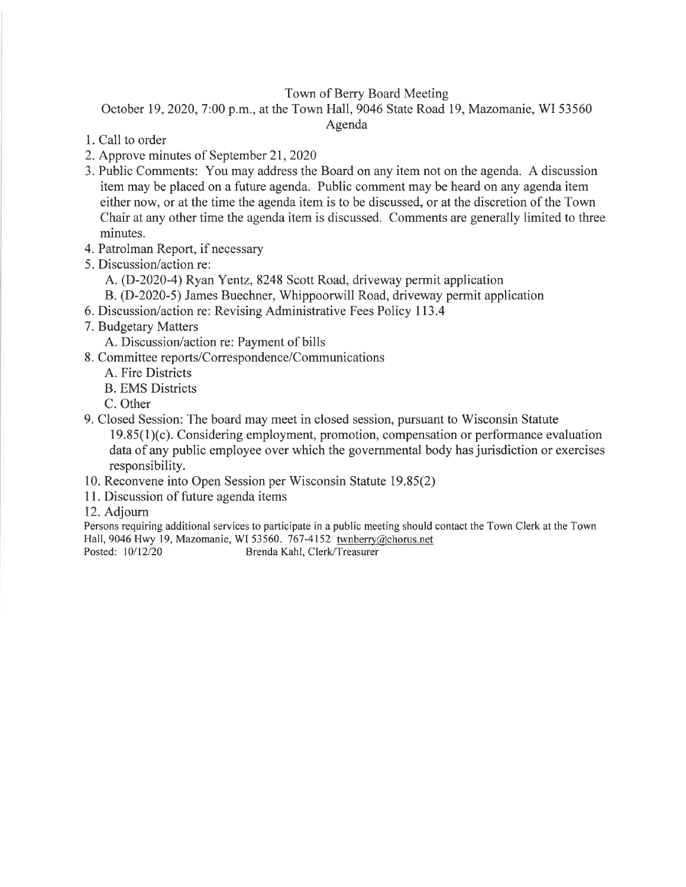# Town of Berry Board Meeting

October 19, 2020, 7:00 p.m., at the Town Hall, 9046 State Road 19, Mazomanie, WI 53560

Agenda

- 1. Call to order
- 2. Approve minutes of September2l,2020
- 3. Public Comments: You may address the Board on any item not on the agenda. A discussion item may be placed on a future agenda. Public comment may be heard on any agenda item either now, or at the time the agenda item is to be discussed, or at the discretion of the Town Chair at any other time the agenda item is discussed. Comments are generally limited to three minutes.
- 4. Patrolman Report, if necessary
- 5. Discussion/action re:
	- A. (D-2020-4) Ryan Yentz,8248 Scott Road, driveway permit application
	- B. (D-2020-5) James Buechner, Whippoorwill Road, driveway permit application
- 6. Discussion/action re: Revising Administrative Fees Policy 113.4
- 7. Budgetary Matters
	- A. Discussion/action re: Payment of bills
- 8. Committee reports/Correspondence/Communications
	- A. Fire Districts
	- B. EMS Districts
	- C. Other
- 9. Closed Session: The board may meet in closed session, pursuant to Wisconsin Statute 19.85(l)(c). Considering employment, promotion, compensation or performance evaluation data of any public employee over which the governmental body has jurisdiction or exercises responsibility.
- 10. Reconvene into Open Session per Wisconsin Statute 19.85(2)
- 11. Discussion of future agenda items
- 12. Adjoum

Persons requiring additional services to participate in a public meeting should contact the Town Clerk at the Town Hall, 9046 Hwy 19, Mazomanie, WI 53560. 767-4152 twnberry@chorus.net Posted: 10/12/20 Brenda Kahl, Clerk/Treasurer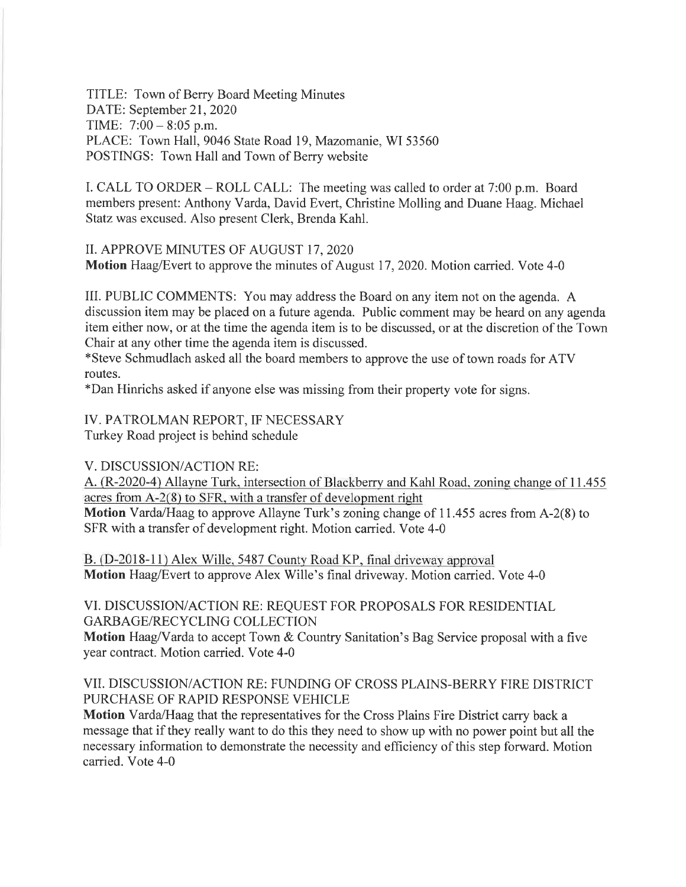TITLE: Town of Berry Board Meeting Minutes DATE: September 21, 2020 TIME:  $7:00 - 8:05$  p.m. PLACE: Town Hall, 9046 State Road 19, Mazomanie, WI 53560 POSTINGS: Town Hall and Town of Berry website

I. CALL TO ORDER – ROLL CALL: The meeting was called to order at  $7:00$  p.m. Board members present: Anthony Varda, David Evert, Christine Molling and Duane Haag. Michael Statz was excused. Also present Clerk, Brenda Kahl.

II. APPROVE MINUTES OF AUGUST I7,2O2O

Motion Haag/Evert to approve the minutes of August 17, 2020. Motion carried. Vote 4-0

IIL PUBLIC COMMENTS: You may address the Board on any item not on the agenda. A discussion item may be placed on a future agenda. Public comment may be heard on any agenda item either now, or at the time the agenda item is to be discussed, or at the discretion of the Town Chair at any other time the agenda item is discussed.

\*Steve Schmudlach asked all the board members to approve the use of town roads for ATV routes.

\*Dan Hinrichs asked if anyone else was missing from their property vote for signs.

IV. PATROLMAN REPORT, IF NECESSARY

Turkey Road project is behind schedule

V. DISCUSSION/ACTION RE:

A. (R-2020-4) Allayne Turk, intersection of Blackberry and Kahl Road, zoning change of 11.455 acres from A-2(8) to SFR. with a transfer of development right

Motion Varda/Haag to approve Allayne Turk's zoning change of 11.455 acres from A-2(8) to SFR with a transfer of development right. Motion carried. Vote 4-0

B. (D-2018-11) Alex Wille, 5487 County Road KP, final driveway approval Motion Haag/Evert to approve Alex Wille's final driveway. Motion carried. Vote 4-0

VI. DISCUSSION/ACTION RE: REQUEST FOR PROPOSALS FOR RESIDENTIAL GARBAGE/RECYCLING COLLECTION

Motion Haag/Varda to accept Town & Country Sanitation's Bag Service proposal with a five year contract. Motion carried. Vote 4-0

## VII. DISCUSSIONiACTION RE: FUNDING OF CROSS PLAINS-BERRY FIRE DISTRICT PURCHASE OF RAPID RESPONSE VEHICLE

Motion Yarda/Haag that the representatives for the Cross Plains Fire District carry back a message that if they really want to do this they need to show up with no power point but all the necessary information to demonstrate the necessity and efficiency of this step forward. Motion carried. Vote 4-0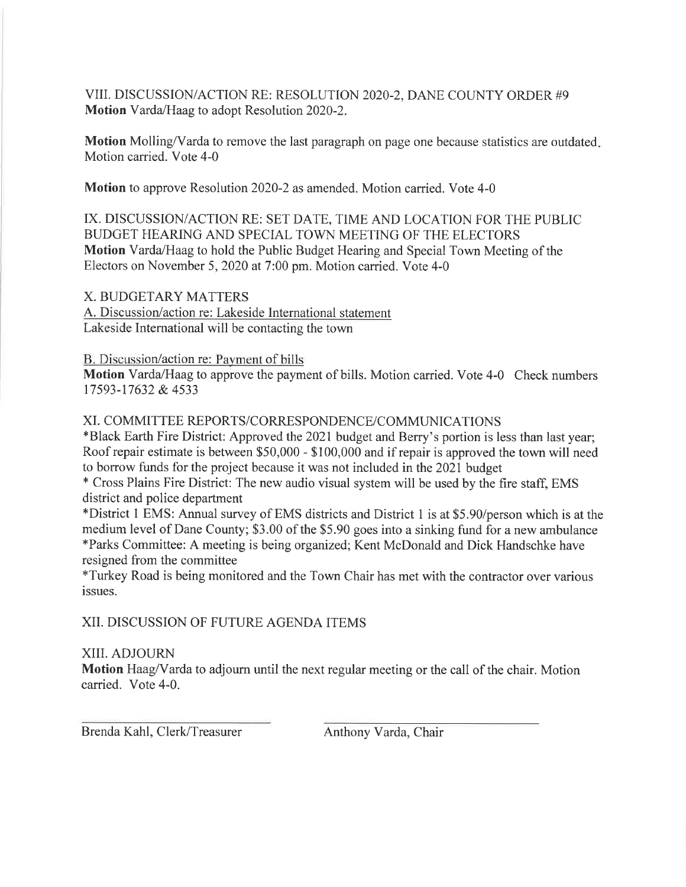VIII. DISCUSSION/ACTION RE: RESOLUTION 2020-2, DANE COUNTY ORDER #9 Motion Yarda/Haag to adopt Resolution 2020-2.

Motion Molling/Varda to remove the last paragraph on page one because statistics are outdated. Motion carried. Vote 4-0

Motion to approve Resolution 2020-2 as amended. Motion carried. Vote 4-0

IX. DISCUSSION/ACTION RE: SET DATE, TIME AND LOCATION FOR THE PUBLIC BUDGET HEARING AND SPECIAL TOWN MEETING OF THE ELECTORS Motion Yarda/Haag to hold the Public Budget Hearing and Special Town Meeting of the Electors on November 5, 2020 at 7:00 pm. Motion carried. Vote 4-0

X. BUDGETARY MATTERS A. Discussion/action re: Lakeside International statement Lakeside International will be contacting the town

B. Discussion/action re: Payment of bills

Motion Yarda/Haag to approve the payment of bills. Motion carried. Vote 4-0 Check numbers 17593-17632 & 4s33

# XI. C OMMITTEE REPORTS/CORRESPONDENCE/COMMUNICATIONS

\*Black Earth Fire District: Approved the 2021 budget and Berry's portion is less than last year; Roof repair estimate is between \$50,000 - \$100,000 and if repair is approved the town will need to borrow funds for the project because it was not included in the 202I budget

\* Cross Plains Fire District: The new audio visual system will be used by the fire staff, EMS district and police department

\*District I EMS: Annual survey of EMS districts and District I is at \$5.90/person which is at the medium level of Dane County; \$3.00 of the \$5.90 goes into a sinking fund for a new ambulance \*Parks Committee: A meeting is being organized; Kent McDonald and Dick Handschke have resigned from the committee

fTurkey Road is being monitored and the Town Chair has met with the contractor over various issues.

XII. DISCUSSION OF FUTURE AGENDA ITEMS

# XIII. ADJOURN

Motion Haag/Varda to adjourn until the next regular meeting or the call of the chair. Motion carried. Vote 4-0.

Brenda Kahl, Clerk/Treasurer Anthony Varda, Chair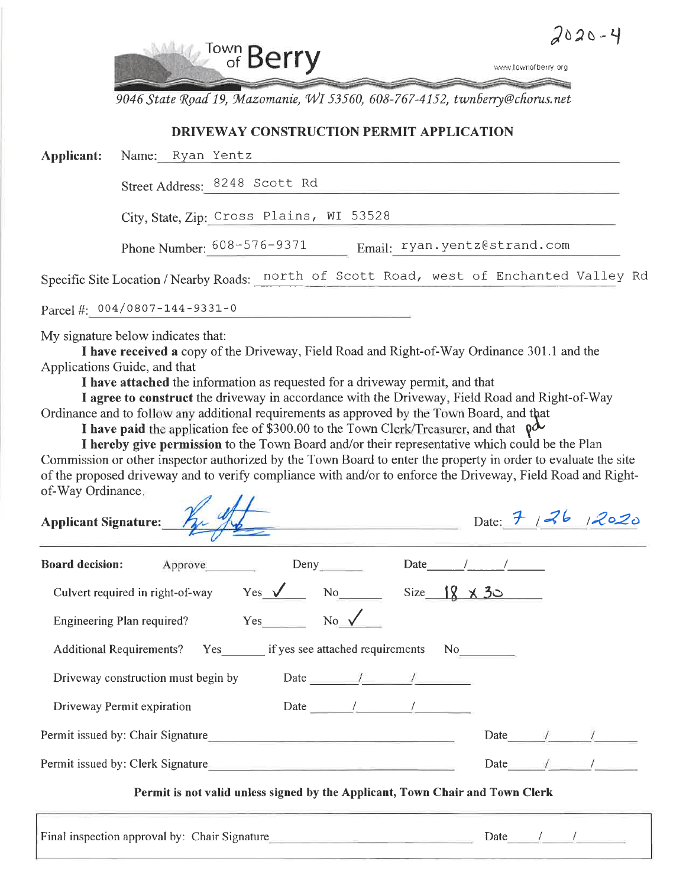

9046 State Road 19, Mazomanie, WI 53560, 608-767-4152, twnberry@chorus.net

## DRIVEWAY CONSTRUCTION PERMIT APPLICATION

| Applicant: | Name: Ryan Yentz                      |                                                                                         |
|------------|---------------------------------------|-----------------------------------------------------------------------------------------|
|            |                                       | Street Address: 8248 Scott Rd                                                           |
|            |                                       | City, State, Zip: Cross Plains, WI 53528                                                |
|            |                                       | Email: ryan.yentz@strand.com<br>Phone Number: $608 - 576 - 9371$                        |
|            |                                       | Specific Site Location / Nearby Roads: north of Scott Road, west of Enchanted Valley Rd |
|            | Parcel #: $004/0807 - 144 - 9331 - 0$ |                                                                                         |

My signature below indicates that:

I have received a copy of the Driveway, Field Road and Right-of-Way Ordinance 301.1 and the Applications Guide, and that

I have attached the information as requested for a driveway permit, and that

I agree to construct the driveway in accordance with the Driveway, Field Road and Right-of-Way Ordinance and to follow any additional requirements as approved by the Town Board, and that

I have paid the application fee of \$300.00 to the Town Clerk/Treasurer, and that  $\rho \mathcal{A}$ 

I hereby give permission to the Town Board and/or their representative which could be the Plan Commission or other inspector authorized by the Town Board to enter the property in order to evaluate the site of the proposed driveway and to verify compliance with and/or to enforce the Driveway, Field Road and Rightof-Way Ordinance  $\overline{\mathscr{A}}$  $\prime\prime$ 

| Applicant Signature:                                                             | Date: 7 $ 2020$                                                                                                                                                                                                                                                                                                                                                                                                             |  |  |               |                           |
|----------------------------------------------------------------------------------|-----------------------------------------------------------------------------------------------------------------------------------------------------------------------------------------------------------------------------------------------------------------------------------------------------------------------------------------------------------------------------------------------------------------------------|--|--|---------------|---------------------------|
| Approve<br><b>Board decision:</b>                                                | Deny Date / /                                                                                                                                                                                                                                                                                                                                                                                                               |  |  |               |                           |
| Culvert required in right-of-way Yes $\sqrt{ }$ No Size $\frac{18}{18} \times 3$ |                                                                                                                                                                                                                                                                                                                                                                                                                             |  |  |               |                           |
| Engineering Plan required? $Yes$ No $\sqrt{ }$                                   |                                                                                                                                                                                                                                                                                                                                                                                                                             |  |  |               |                           |
| Additional Requirements? Yes _______ if yes see attached requirements No________ |                                                                                                                                                                                                                                                                                                                                                                                                                             |  |  |               |                           |
| Driveway construction must begin by Date $\frac{1}{\sqrt{2}}$                    |                                                                                                                                                                                                                                                                                                                                                                                                                             |  |  |               |                           |
| Driveway Permit expiration                                                       | Date $\frac{1}{\sqrt{1-\frac{1}{2}}}\frac{1}{\sqrt{1-\frac{1}{2}}}\frac{1}{\sqrt{1-\frac{1}{2}}}\frac{1}{\sqrt{1-\frac{1}{2}}}\frac{1}{\sqrt{1-\frac{1}{2}}}\frac{1}{\sqrt{1-\frac{1}{2}}}\frac{1}{\sqrt{1-\frac{1}{2}}}\frac{1}{\sqrt{1-\frac{1}{2}}}\frac{1}{\sqrt{1-\frac{1}{2}}}\frac{1}{\sqrt{1-\frac{1}{2}}}\frac{1}{\sqrt{1-\frac{1}{2}}}\frac{1}{\sqrt{1-\frac{1}{2}}}\frac{1}{\sqrt{1-\frac{1}{2}}}\frac{1}{\sqrt$ |  |  |               |                           |
|                                                                                  |                                                                                                                                                                                                                                                                                                                                                                                                                             |  |  | Date /        |                           |
| Permit issued by: Clerk Signature                                                |                                                                                                                                                                                                                                                                                                                                                                                                                             |  |  | Date $\angle$ |                           |
|                                                                                  | Permit is not valid unless signed by the Applicant, Town Chair and Town Clerk                                                                                                                                                                                                                                                                                                                                               |  |  |               |                           |
| Final inspection approval by: Chair Signature                                    | <u> 1989 - John Harrison, mension al-</u>                                                                                                                                                                                                                                                                                                                                                                                   |  |  |               | Date $\frac{1}{\sqrt{2}}$ |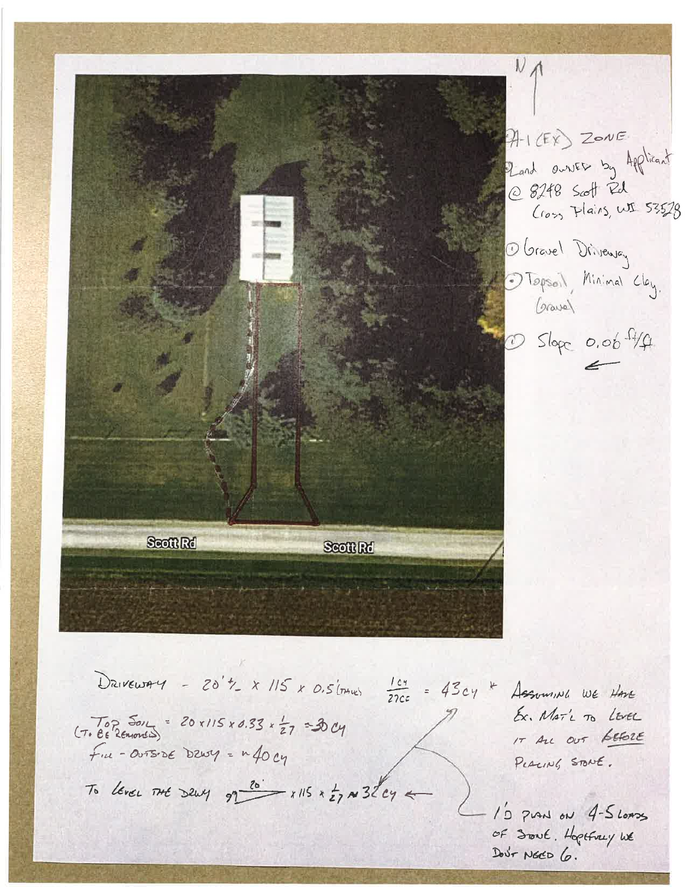$N_A$  $941(EY)$  ZONE Pland ourses by Applicant @ 8248 Scott Rd<br>(10% Plains, WI 53528 O Gravel Driveway 1 Tepsoil, Minimal Clay. Gravel  $D$  Slope 0.00  $4/4$ Scott Rd Scott Rd DRIVEWAY - 20't\_ x 115 x 0.5(mm)  $\frac{164}{220}$  = 43cy \* Assuming WE Have Ex. MAT'L TO LEVEL  $(7.8825012) = 20 x115 x 0.33 \times 27 = 30 cy$ IT ALL OUT GEFORE  $f_{\mu\nu}$  - OUTSIDE DZWY =  $\mu$  40 cy PLACING STONE. To lever THE DEWY  $97 \frac{20}{\sqrt{2}} \times 115 \times \frac{1}{27} \approx 32\degree cy \leftarrow$ 10 PLAN ON 4-5 LOADS of Sout. Hoptfrey we Dout NECD 6.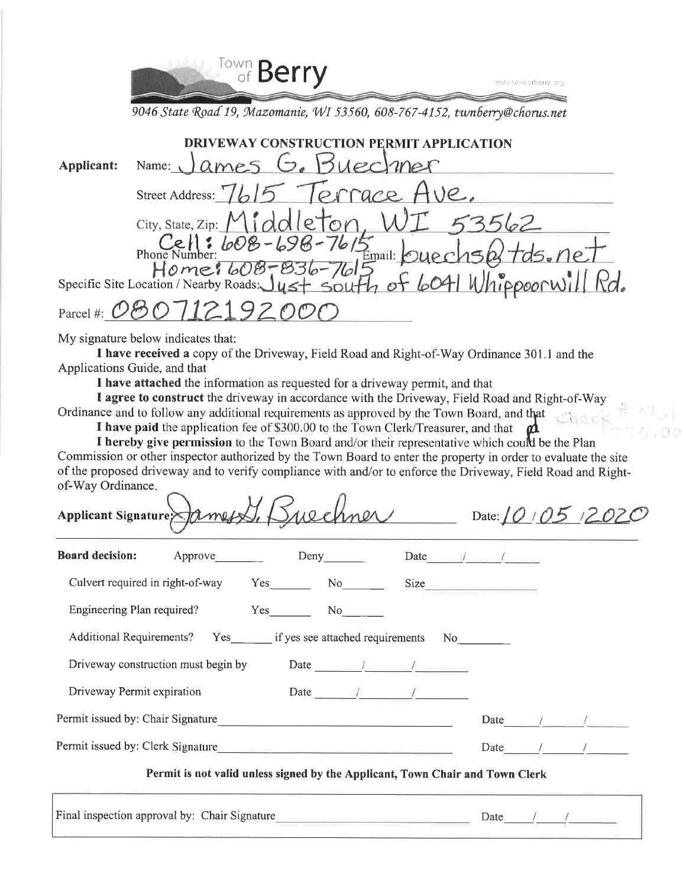

9046 State Road 19, Mazomanie, WI 53560, 608-767-4152, twnberry@chorus.net

|                   | <b>CATION</b>                                                                                        |
|-------------------|------------------------------------------------------------------------------------------------------|
| <b>Applicant:</b> | Buechner<br>ames (2.<br>Name:                                                                        |
|                   | orrace<br>Street Address: 76                                                                         |
|                   | City, State, Zip:<br>'0 ا                                                                            |
|                   | Phone Number: $608 - 698 - 7615$<br>$1 + d\epsilon$ , $n e^{\tau}$<br>Email:                         |
|                   | $H$ o me $1608 - 836$<br>Specific Site Location / Nearby Roads $J_{45} + 56$<br>of 6041 Whippoorwill |
| Parcel #:         |                                                                                                      |

My signature below indicates that:

I have received a copy of the Driveway, Field Road and Right-of-Way Ordinance 301.1 and the Applications Guide, and that

I have attached the information as requested for a driveway permit, and that

I agree to construct the driveway in accordance with the Driveway, Field Road and Right-of-Way Ordinance and to follow any additional requirements as approved by the Town Board, and that

I have paid the application fee of \$300.00 to the Town Clerk/Treasurer, and that m

I hereby give permission to the Town Board and/or their representative which could be the Plan Commission or other inspector authorized by the Town Board to enter the property in order to evaluate the site of the proposed driveway and to verify compliance with and/or to enforce the Driveway, Field Road and Rightof-Way Ordinance.  $\wedge$ 

| Applicant Signature and Ames 1, Bulchner                         |                                                                               |        |                                                                                                                                                                                                                                |                                  |                    |  |  |
|------------------------------------------------------------------|-------------------------------------------------------------------------------|--------|--------------------------------------------------------------------------------------------------------------------------------------------------------------------------------------------------------------------------------|----------------------------------|--------------------|--|--|
| <b>Board decision:</b>                                           | Approve                                                                       |        | Deny                                                                                                                                                                                                                           | Date $\sqrt{1}$                  |                    |  |  |
| Culvert required in right-of-way                                 |                                                                               | Yes No |                                                                                                                                                                                                                                | Size                             |                    |  |  |
| Engineering Plan required?                                       |                                                                               | Yes    | No new results of the set of the set of the set of the set of the set of the set of the set of the set of the set of the set of the set of the set of the set of the set of the set of the set of the set of the set of the se |                                  |                    |  |  |
| Additional Requirements? Yes if yes see attached requirements No |                                                                               |        |                                                                                                                                                                                                                                |                                  |                    |  |  |
| Driveway construction must begin by                              |                                                                               |        |                                                                                                                                                                                                                                | Date $\frac{1}{2}$ $\frac{1}{2}$ |                    |  |  |
| Driveway Permit expiration                                       |                                                                               |        |                                                                                                                                                                                                                                | Date $\qquad$ /                  |                    |  |  |
| Permit issued by: Chair Signature                                |                                                                               |        |                                                                                                                                                                                                                                |                                  | Date $\frac{1}{2}$ |  |  |
| Permit issued by: Clerk Signature                                |                                                                               |        |                                                                                                                                                                                                                                | Date                             |                    |  |  |
|                                                                  | Permit is not valid unless signed by the Applicant, Town Chair and Town Clerk |        |                                                                                                                                                                                                                                |                                  |                    |  |  |

Final inspection approval by: Chair Signature Date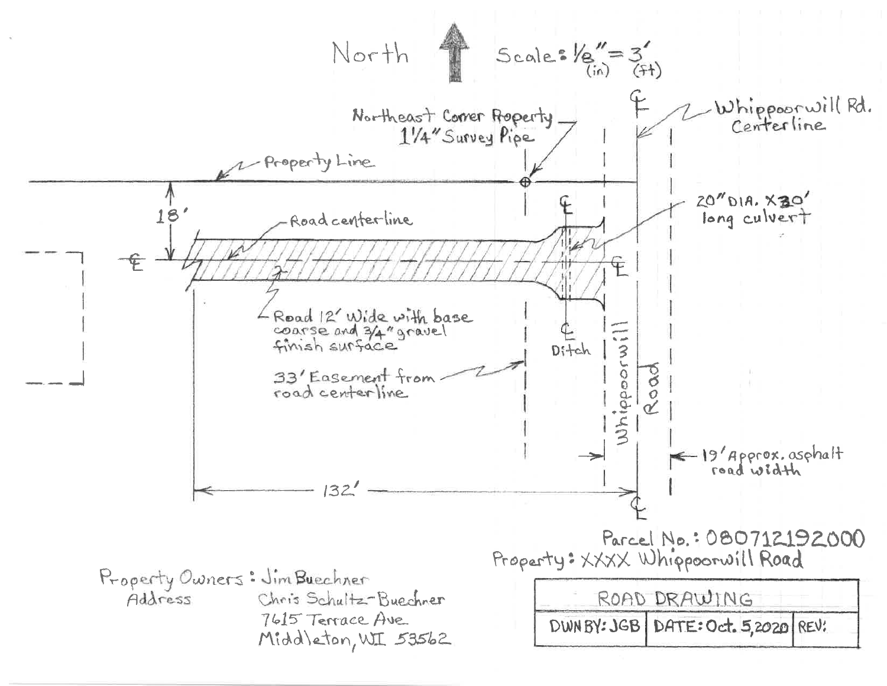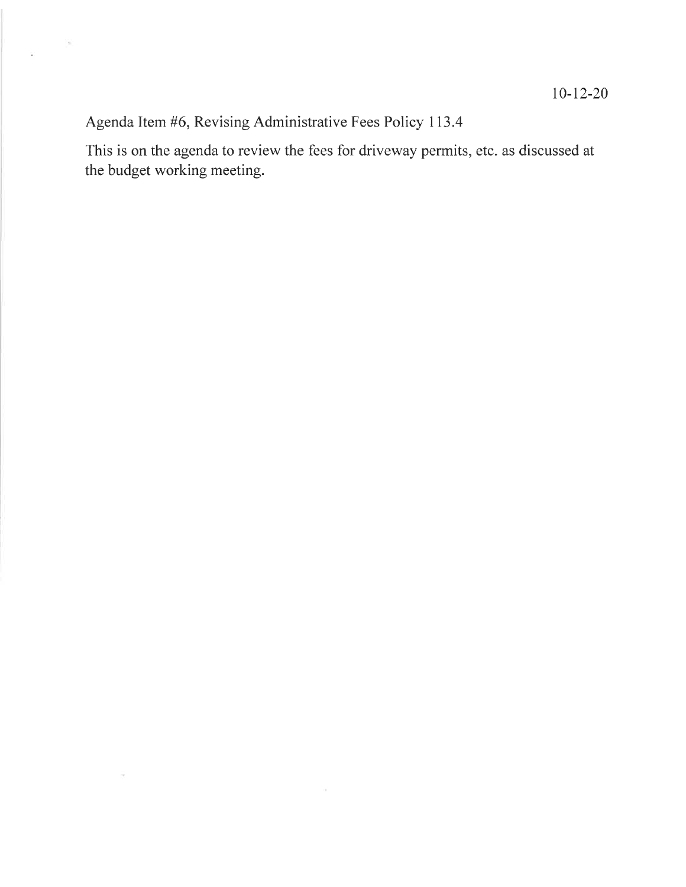Agenda Item #6, Revising Administrative Fees Policy 113.4

 $\sim$   $\sim$ 

 $\overline{\mathcal{M}}$ 

 $\mathbf{r}$ 

This is on the agenda to review the fees for driveway permits, etc. as discussed at the budget working meeting.

 $\sim$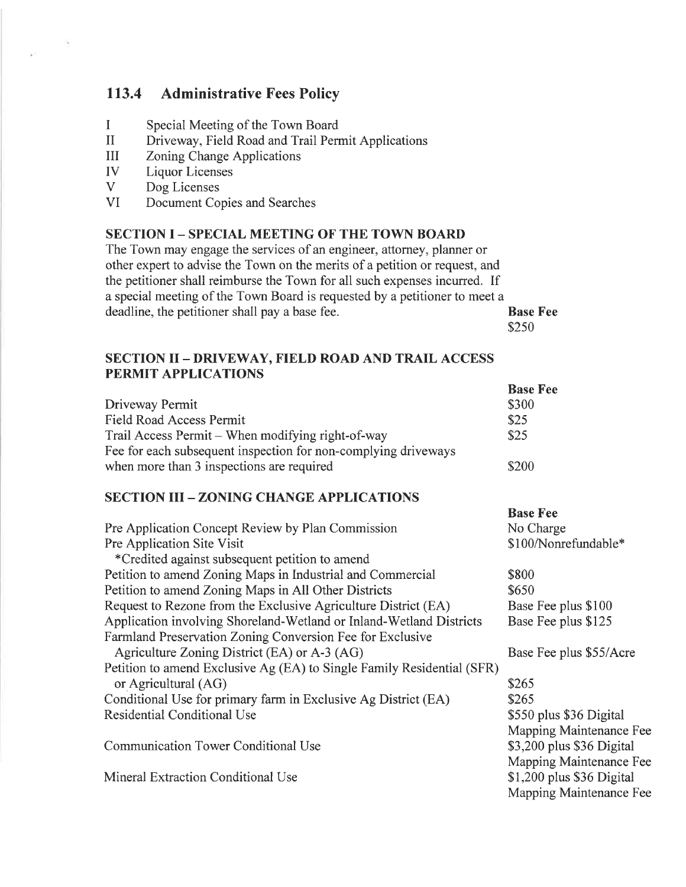# 113.4 Administrative Fees Policy

- I Special Meeting of the Town Board
- II Driveway, Field Road and Trail Permit Applications
- UI Zoning Change Applications
- IV Liquor Licenses
- V Dog Licenses

 $\mathcal{L}_{\mathbf{X}}$ 

VI Document Copies and Searches

#### SECTION I - SPECIAL MEETING OF THE TOWN BOARD

The Town may engage the services of an engineer, attorney, planner or other expert to advise the Town on the merits of a petition or request, and the petitioner shall reimburse the Town for all such expenses incurred. If a special meeting of the Town Board is requested by a petitioner to meet a deadline, the petitioner shall pay abase fee. Base Fee \$2s0

# SECTION II - DRIVEWAY, FIELD ROAD AND TRAIL ACCESS PERMIT APPLICATIONS

|                                                                | <b>Base Fee</b> |
|----------------------------------------------------------------|-----------------|
| Driveway Permit                                                | \$300           |
| Field Road Access Permit                                       | \$25            |
| Trail Access Permit – When modifying right-of-way              | \$25            |
| Fee for each subsequent inspection for non-complying driveways |                 |
| when more than 3 inspections are required                      | \$200           |

#### SECTION III - ZONING CHANGE APPLICATIONS

| Pre Application Concept Review by Plan Commission                      | No Charge                  |
|------------------------------------------------------------------------|----------------------------|
| Pre Application Site Visit                                             | \$100/Nonrefundable*       |
| *Credited against subsequent petition to amend                         |                            |
| Petition to amend Zoning Maps in Industrial and Commercial             | \$800                      |
| Petition to amend Zoning Maps in All Other Districts                   | \$650                      |
| Request to Rezone from the Exclusive Agriculture District (EA)         | Base Fee plus \$100        |
| Application involving Shoreland-Wetland or Inland-Wetland Districts    | Base Fee plus \$125        |
| Farmland Preservation Zoning Conversion Fee for Exclusive              |                            |
| Agriculture Zoning District (EA) or A-3 (AG)                           | Base Fee plus \$55/Acre    |
| Petition to amend Exclusive Ag (EA) to Single Family Residential (SFR) |                            |
| or Agricultural (AG)                                                   | \$265                      |
| Conditional Use for primary farm in Exclusive Ag District (EA)         | \$265                      |
| Residential Conditional Use                                            | \$550 plus \$36 Digital    |
|                                                                        | Mapping Maintenance Fee    |
| Communication Tower Conditional Use                                    | \$3,200 plus \$36 Digital  |
|                                                                        | Mapping Maintenance Fee    |
| Mineral Extraction Conditional Use                                     | $$1,200$ plus \$36 Digital |
|                                                                        | Mapping Maintenance Fee    |
|                                                                        |                            |

Base Fee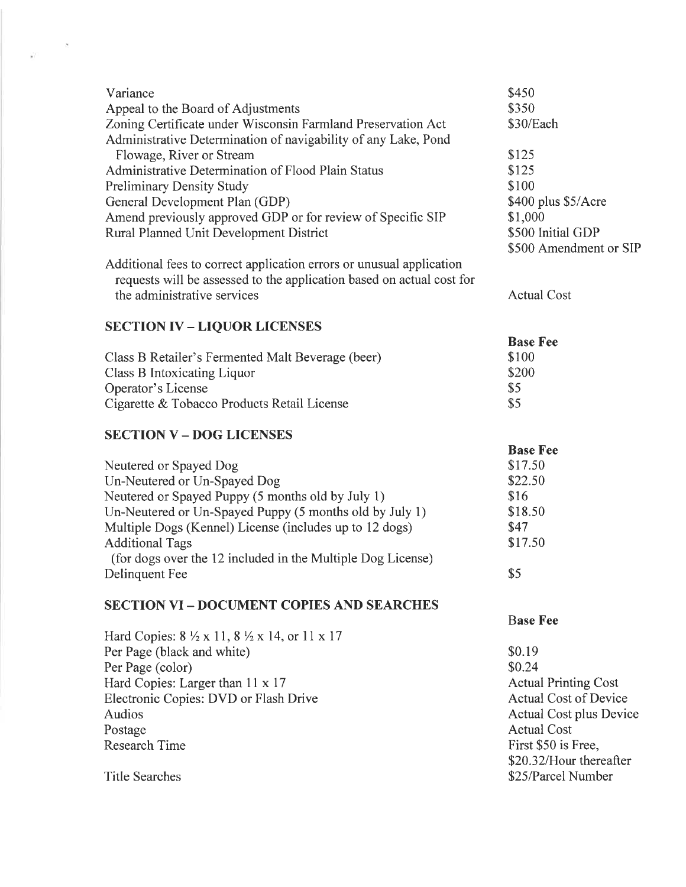| Variance                                                                             | \$450                        |
|--------------------------------------------------------------------------------------|------------------------------|
| Appeal to the Board of Adjustments                                                   | \$350                        |
| Zoning Certificate under Wisconsin Farmland Preservation Act                         | \$30/Each                    |
| Administrative Determination of navigability of any Lake, Pond                       |                              |
| Flowage, River or Stream                                                             | \$125                        |
| Administrative Determination of Flood Plain Status                                   | \$125                        |
| <b>Preliminary Density Study</b>                                                     | \$100                        |
| General Development Plan (GDP)                                                       | \$400 plus \$5/Acre          |
| Amend previously approved GDP or for review of Specific SIP                          | \$1,000                      |
| Rural Planned Unit Development District                                              | \$500 Initial GDP            |
|                                                                                      | \$500 Amendment or SIP       |
|                                                                                      |                              |
| Additional fees to correct application errors or unusual application                 |                              |
| requests will be assessed to the application based on actual cost for                |                              |
| the administrative services                                                          | <b>Actual Cost</b>           |
|                                                                                      |                              |
| <b>SECTION IV - LIQUOR LICENSES</b>                                                  |                              |
|                                                                                      | <b>Base Fee</b>              |
| Class B Retailer's Fermented Malt Beverage (beer)                                    | \$100                        |
| Class B Intoxicating Liquor                                                          | \$200                        |
| Operator's License                                                                   | \$5                          |
| Cigarette & Tobacco Products Retail License                                          | \$5                          |
| <b>SECTION V - DOG LICENSES</b>                                                      |                              |
|                                                                                      | <b>Base Fee</b>              |
|                                                                                      |                              |
|                                                                                      | \$17.50                      |
| Neutered or Spayed Dog                                                               | \$22.50                      |
| Un-Neutered or Un-Spayed Dog                                                         |                              |
| Neutered or Spayed Puppy (5 months old by July 1)                                    | \$16                         |
| Un-Neutered or Un-Spayed Puppy (5 months old by July 1)                              | \$18.50                      |
| Multiple Dogs (Kennel) License (includes up to 12 dogs)                              | \$47                         |
| <b>Additional Tags</b>                                                               | \$17.50                      |
| (for dogs over the 12 included in the Multiple Dog License)                          |                              |
| Delinquent Fee                                                                       | \$5                          |
|                                                                                      |                              |
| <b>SECTION VI - DOCUMENT COPIES AND SEARCHES</b>                                     |                              |
|                                                                                      | <b>Base Fee</b>              |
| Hard Copies: $8\frac{1}{2} \times 11$ , $8\frac{1}{2} \times 14$ , or $11 \times 17$ |                              |
| Per Page (black and white)                                                           | \$0.19                       |
| Per Page (color)                                                                     | \$0.24                       |
| Hard Copies: Larger than 11 x 17                                                     | <b>Actual Printing Cost</b>  |
| Electronic Copies: DVD or Flash Drive                                                | <b>Actual Cost of Device</b> |
| <b>Audios</b>                                                                        | Actual Cost plus Device      |
| Postage                                                                              | <b>Actual Cost</b>           |
| <b>Research Time</b>                                                                 | First \$50 is Free,          |
|                                                                                      | \$20.32/Hour thereafter      |
| <b>Title Searches</b>                                                                | \$25/Parcel Number           |

 $\label{eq:1} \frac{\partial}{\partial t} \mathbf{e}^{(t)} = \frac{\partial \mathbf{e}^{(t)}}{\partial t} \mathbf{e}^{(t)}$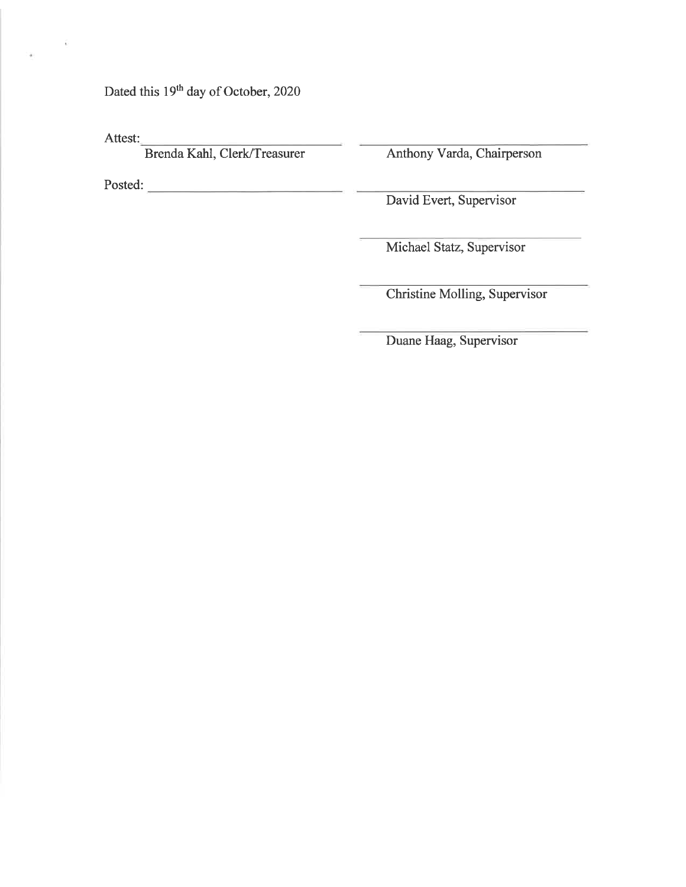Dated this 19<sup>th</sup> day of October, 2020

Attest:

ÿ

Brenda Kahl, Clerk/Treasurer Anthony Varda, Chairperson

Posted:

David Evert, Supervisor

Michael Statz, Supervisor

Christine Molling, Supervisor

Duane Haag, Supervisor